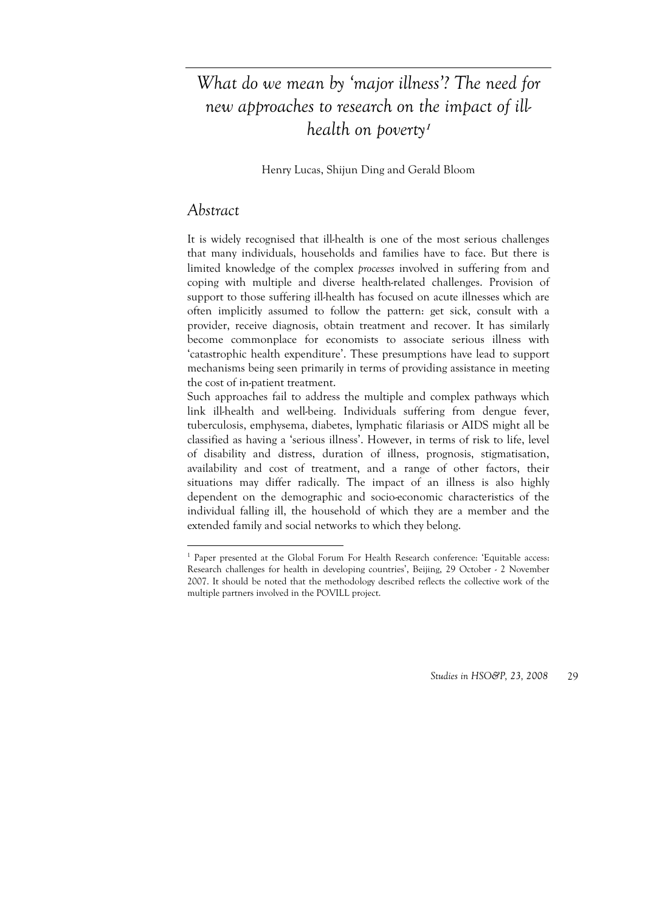# *What do we mean by 'major illness'? The need for new approaches to research on the impact of illhealth on poverty***<sup>1</sup>**

Henry Lucas, Shijun Ding and Gerald Bloom

## *Abstract*

<u>.</u>

It is widely recognised that ill-health is one of the most serious challenges that many individuals, households and families have to face. But there is limited knowledge of the complex *processes* involved in suffering from and coping with multiple and diverse health-related challenges. Provision of support to those suffering ill-health has focused on acute illnesses which are often implicitly assumed to follow the pattern: get sick, consult with a provider, receive diagnosis, obtain treatment and recover. It has similarly become commonplace for economists to associate serious illness with 'catastrophic health expenditure'. These presumptions have lead to support mechanisms being seen primarily in terms of providing assistance in meeting the cost of in-patient treatment.

Such approaches fail to address the multiple and complex pathways which link ill-health and well-being. Individuals suffering from dengue fever, tuberculosis, emphysema, diabetes, lymphatic filariasis or AIDS might all be classified as having a 'serious illness'. However, in terms of risk to life, level of disability and distress, duration of illness, prognosis, stigmatisation, availability and cost of treatment, and a range of other factors, their situations may differ radically. The impact of an illness is also highly dependent on the demographic and socio-economic characteristics of the individual falling ill, the household of which they are a member and the extended family and social networks to which they belong.

<sup>&</sup>lt;sup>1</sup> Paper presented at the Global Forum For Health Research conference: 'Equitable access: Research challenges for health in developing countries', Beijing, 29 October - 2 November 2007. It should be noted that the methodology described reflects the collective work of the multiple partners involved in the POVILL project.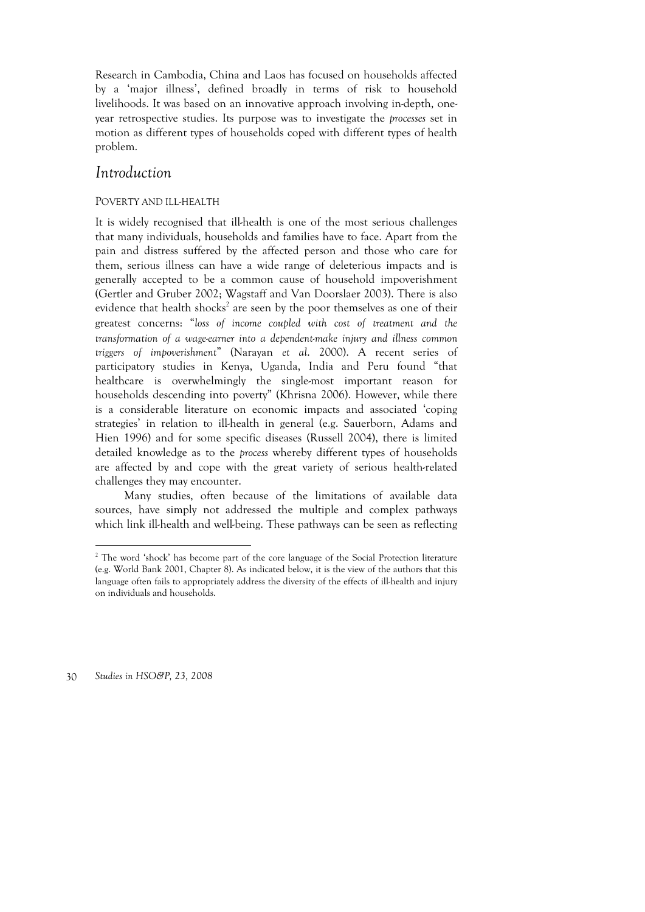Research in Cambodia, China and Laos has focused on households affected by a 'major illness', defined broadly in terms of risk to household livelihoods. It was based on an innovative approach involving in-depth, oneyear retrospective studies. Its purpose was to investigate the *processes* set in motion as different types of households coped with different types of health problem.

### *Introduction*

#### POVERTY AND ILL-HEALTH

It is widely recognised that ill-health is one of the most serious challenges that many individuals, households and families have to face. Apart from the pain and distress suffered by the affected person and those who care for them, serious illness can have a wide range of deleterious impacts and is generally accepted to be a common cause of household impoverishment (Gertler and Gruber 2002; Wagstaff and Van Doorslaer 2003). There is also evidence that health shocks<sup>2</sup> are seen by the poor themselves as one of their greatest concerns: "*loss of income coupled with cost of treatment and the transformation of a wage-earner into a dependent-make injury and illness common triggers of impoverishment*" (Narayan *et al*. 2000). A recent series of participatory studies in Kenya, Uganda, India and Peru found "that healthcare is overwhelmingly the single-most important reason for households descending into poverty" (Khrisna 2006). However, while there is a considerable literature on economic impacts and associated 'coping strategies' in relation to ill-health in general (e.g. Sauerborn, Adams and Hien 1996) and for some specific diseases (Russell 2004), there is limited detailed knowledge as to the *process* whereby different types of households are affected by and cope with the great variety of serious health-related challenges they may encounter.

Many studies, often because of the limitations of available data sources, have simply not addressed the multiple and complex pathways which link ill-health and well-being. These pathways can be seen as reflecting

30 *Studies in HSO&P, 23, 2008* 

 $\overline{a}$ 

<sup>&</sup>lt;sup>2</sup> The word 'shock' has become part of the core language of the Social Protection literature (e.g. World Bank 2001, Chapter 8). As indicated below, it is the view of the authors that this language often fails to appropriately address the diversity of the effects of ill-health and injury on individuals and households.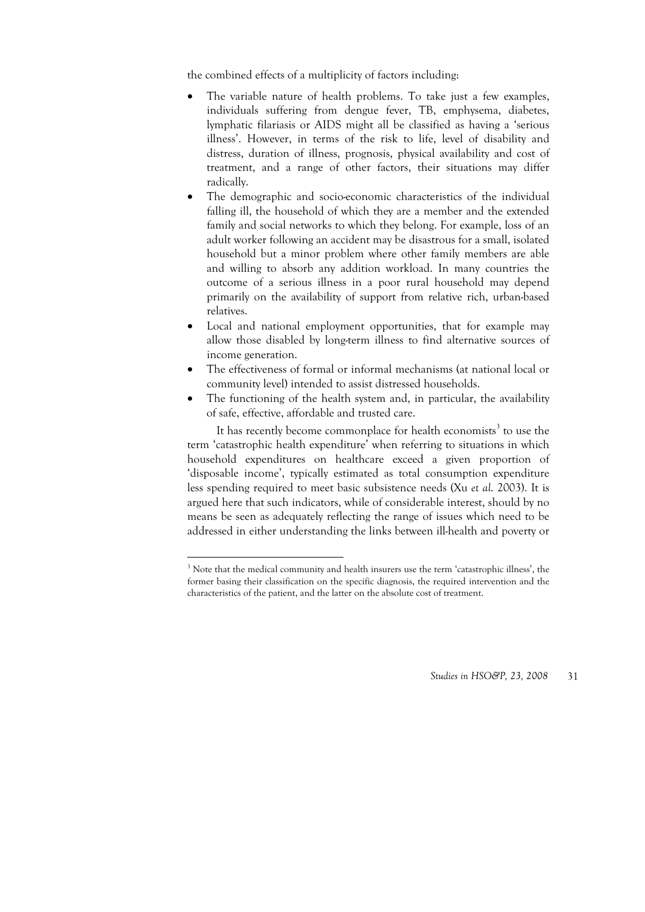the combined effects of a multiplicity of factors including:

- The variable nature of health problems. To take just a few examples, individuals suffering from dengue fever, TB, emphysema, diabetes, lymphatic filariasis or AIDS might all be classified as having a 'serious illness'. However, in terms of the risk to life, level of disability and distress, duration of illness, prognosis, physical availability and cost of treatment, and a range of other factors, their situations may differ radically.
- The demographic and socio-economic characteristics of the individual falling ill, the household of which they are a member and the extended family and social networks to which they belong. For example, loss of an adult worker following an accident may be disastrous for a small, isolated household but a minor problem where other family members are able and willing to absorb any addition workload. In many countries the outcome of a serious illness in a poor rural household may depend primarily on the availability of support from relative rich, urban-based relatives.
- Local and national employment opportunities, that for example may allow those disabled by long-term illness to find alternative sources of income generation.
- The effectiveness of formal or informal mechanisms (at national local or community level) intended to assist distressed households.
- The functioning of the health system and, in particular, the availability of safe, effective, affordable and trusted care.

It has recently become commonplace for health economists<sup>3</sup> to use the term 'catastrophic health expenditure' when referring to situations in which household expenditures on healthcare exceed a given proportion of 'disposable income', typically estimated as total consumption expenditure less spending required to meet basic subsistence needs (Xu *et al*. 2003). It is argued here that such indicators, while of considerable interest, should by no means be seen as adequately reflecting the range of issues which need to be addressed in either understanding the links between ill-health and poverty or

-

<sup>&</sup>lt;sup>3</sup> Note that the medical community and health insurers use the term 'catastrophic illness', the former basing their classification on the specific diagnosis, the required intervention and the characteristics of the patient, and the latter on the absolute cost of treatment.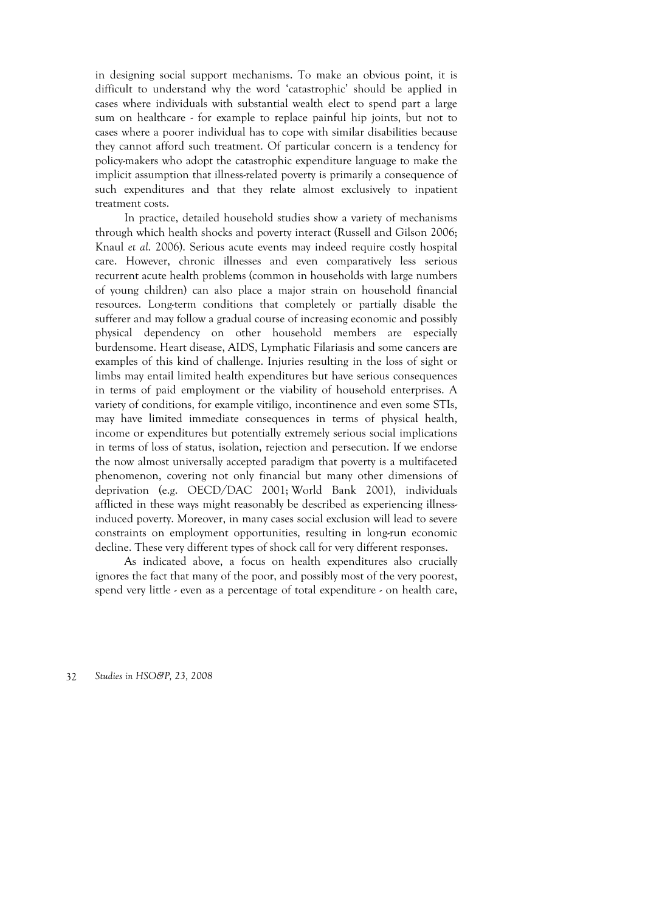in designing social support mechanisms. To make an obvious point, it is difficult to understand why the word 'catastrophic' should be applied in cases where individuals with substantial wealth elect to spend part a large sum on healthcare  $\epsilon$  for example to replace painful hip joints, but not to cases where a poorer individual has to cope with similar disabilities because they cannot afford such treatment. Of particular concern is a tendency for policy-makers who adopt the catastrophic expenditure language to make the implicit assumption that illness-related poverty is primarily a consequence of such expenditures and that they relate almost exclusively to inpatient treatment costs.

In practice, detailed household studies show a variety of mechanisms through which health shocks and poverty interact (Russell and Gilson 2006; Knaul *et al*. 2006). Serious acute events may indeed require costly hospital care. However, chronic illnesses and even comparatively less serious recurrent acute health problems (common in households with large numbers of young children) can also place a major strain on household financial resources. Long-term conditions that completely or partially disable the sufferer and may follow a gradual course of increasing economic and possibly physical dependency on other household members are especially burdensome. Heart disease, AIDS, Lymphatic Filariasis and some cancers are examples of this kind of challenge. Injuries resulting in the loss of sight or limbs may entail limited health expenditures but have serious consequences in terms of paid employment or the viability of household enterprises. A variety of conditions, for example vitiligo, incontinence and even some STIs, may have limited immediate consequences in terms of physical health, income or expenditures but potentially extremely serious social implications in terms of loss of status, isolation, rejection and persecution. If we endorse the now almost universally accepted paradigm that poverty is a multifaceted phenomenon, covering not only financial but many other dimensions of deprivation (e.g. OECD/DAC 2001; World Bank 2001), individuals afflicted in these ways might reasonably be described as experiencing illnessinduced poverty. Moreover, in many cases social exclusion will lead to severe constraints on employment opportunities, resulting in long-run economic decline. These very different types of shock call for very different responses.

As indicated above, a focus on health expenditures also crucially ignores the fact that many of the poor, and possibly most of the very poorest, spend very little - even as a percentage of total expenditure - on health care,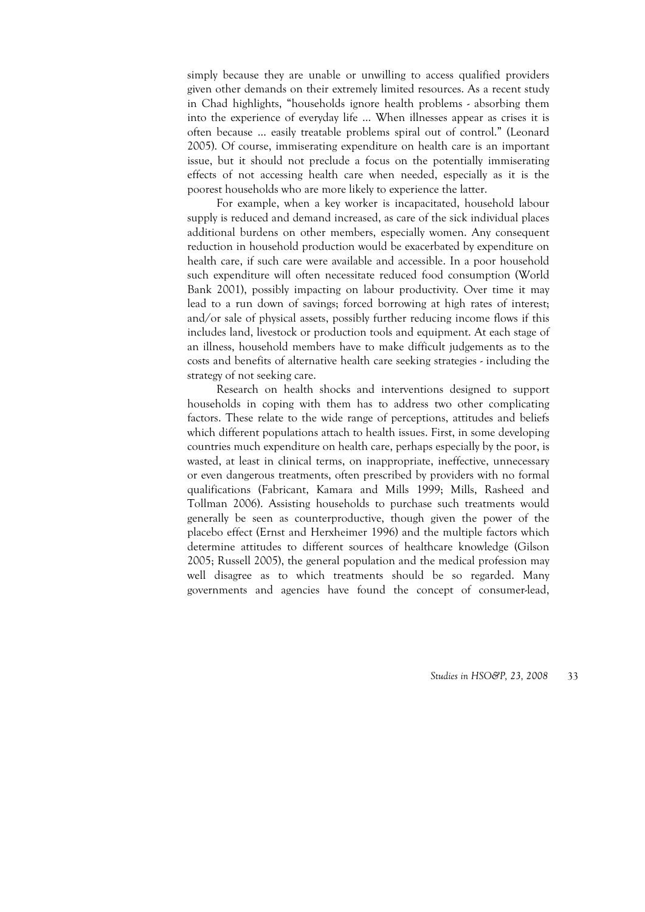simply because they are unable or unwilling to access qualified providers given other demands on their extremely limited resources. As a recent study in Chad highlights, "households ignore health problems - absorbing them into the experience of everyday life … When illnesses appear as crises it is often because … easily treatable problems spiral out of control." (Leonard 2005). Of course, immiserating expenditure on health care is an important issue, but it should not preclude a focus on the potentially immiserating effects of not accessing health care when needed, especially as it is the poorest households who are more likely to experience the latter.

For example, when a key worker is incapacitated, household labour supply is reduced and demand increased, as care of the sick individual places additional burdens on other members, especially women. Any consequent reduction in household production would be exacerbated by expenditure on health care, if such care were available and accessible. In a poor household such expenditure will often necessitate reduced food consumption (World Bank 2001), possibly impacting on labour productivity. Over time it may lead to a run down of savings; forced borrowing at high rates of interest; and/or sale of physical assets, possibly further reducing income flows if this includes land, livestock or production tools and equipment. At each stage of an illness, household members have to make difficult judgements as to the costs and benefits of alternative health care seeking strategies - including the strategy of not seeking care.

Research on health shocks and interventions designed to support households in coping with them has to address two other complicating factors. These relate to the wide range of perceptions, attitudes and beliefs which different populations attach to health issues. First, in some developing countries much expenditure on health care, perhaps especially by the poor, is wasted, at least in clinical terms, on inappropriate, ineffective, unnecessary or even dangerous treatments, often prescribed by providers with no formal qualifications (Fabricant, Kamara and Mills 1999; Mills, Rasheed and Tollman 2006). Assisting households to purchase such treatments would generally be seen as counterproductive, though given the power of the placebo effect (Ernst and Herxheimer 1996) and the multiple factors which determine attitudes to different sources of healthcare knowledge (Gilson 2005; Russell 2005), the general population and the medical profession may well disagree as to which treatments should be so regarded. Many governments and agencies have found the concept of consumer-lead,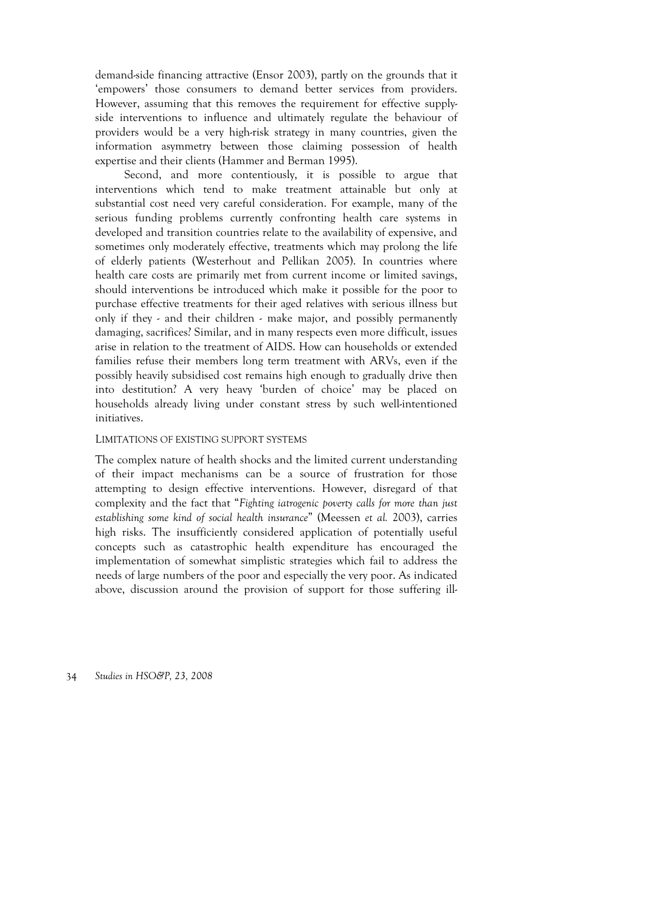demand-side financing attractive (Ensor 2003), partly on the grounds that it 'empowers' those consumers to demand better services from providers. However, assuming that this removes the requirement for effective supplyside interventions to influence and ultimately regulate the behaviour of providers would be a very high-risk strategy in many countries, given the information asymmetry between those claiming possession of health expertise and their clients (Hammer and Berman 1995).

Second, and more contentiously, it is possible to argue that interventions which tend to make treatment attainable but only at substantial cost need very careful consideration. For example, many of the serious funding problems currently confronting health care systems in developed and transition countries relate to the availability of expensive, and sometimes only moderately effective, treatments which may prolong the life of elderly patients (Westerhout and Pellikan 2005). In countries where health care costs are primarily met from current income or limited savings, should interventions be introduced which make it possible for the poor to purchase effective treatments for their aged relatives with serious illness but only if they - and their children - make major, and possibly permanently damaging, sacrifices? Similar, and in many respects even more difficult, issues arise in relation to the treatment of AIDS. How can households or extended families refuse their members long term treatment with ARVs, even if the possibly heavily subsidised cost remains high enough to gradually drive then into destitution? A very heavy 'burden of choice' may be placed on households already living under constant stress by such well-intentioned initiatives.

#### LIMITATIONS OF EXISTING SUPPORT SYSTEMS

The complex nature of health shocks and the limited current understanding of their impact mechanisms can be a source of frustration for those attempting to design effective interventions. However, disregard of that complexity and the fact that "*Fighting iatrogenic poverty calls for more than just establishing some kind of social health insurance*" (Meessen *et al.* 2003), carries high risks. The insufficiently considered application of potentially useful concepts such as catastrophic health expenditure has encouraged the implementation of somewhat simplistic strategies which fail to address the needs of large numbers of the poor and especially the very poor. As indicated above, discussion around the provision of support for those suffering ill-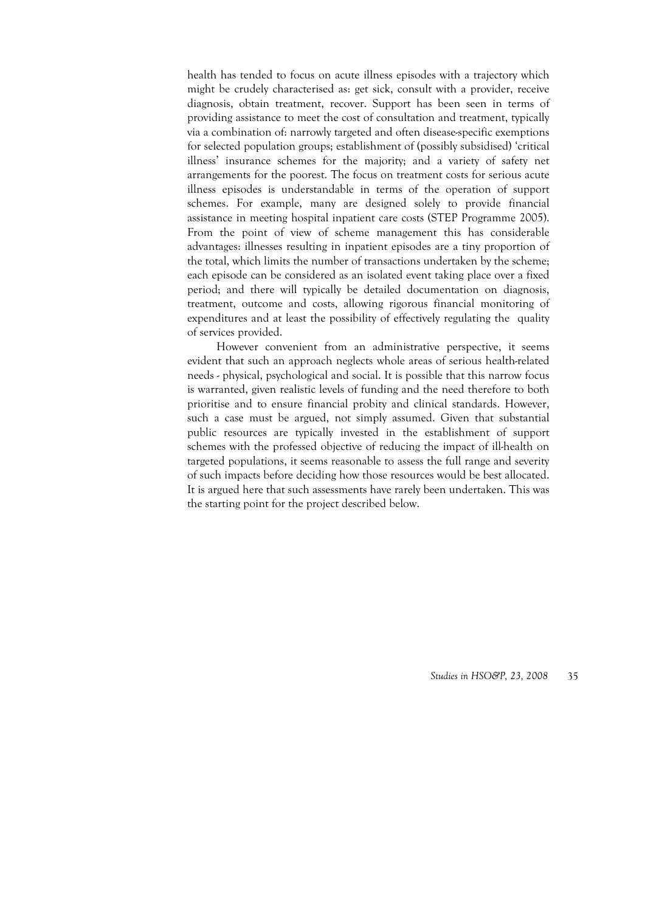health has tended to focus on acute illness episodes with a trajectory which might be crudely characterised as: get sick, consult with a provider, receive diagnosis, obtain treatment, recover. Support has been seen in terms of providing assistance to meet the cost of consultation and treatment, typically via a combination of: narrowly targeted and often disease-specific exemptions for selected population groups; establishment of (possibly subsidised) 'critical illness' insurance schemes for the majority; and a variety of safety net arrangements for the poorest. The focus on treatment costs for serious acute illness episodes is understandable in terms of the operation of support schemes. For example, many are designed solely to provide financial assistance in meeting hospital inpatient care costs (STEP Programme 2005). From the point of view of scheme management this has considerable advantages: illnesses resulting in inpatient episodes are a tiny proportion of the total, which limits the number of transactions undertaken by the scheme; each episode can be considered as an isolated event taking place over a fixed period; and there will typically be detailed documentation on diagnosis, treatment, outcome and costs, allowing rigorous financial monitoring of expenditures and at least the possibility of effectively regulating the quality of services provided.

However convenient from an administrative perspective, it seems evident that such an approach neglects whole areas of serious health-related needs - physical, psychological and social. It is possible that this narrow focus is warranted, given realistic levels of funding and the need therefore to both prioritise and to ensure financial probity and clinical standards. However, such a case must be argued, not simply assumed. Given that substantial public resources are typically invested in the establishment of support schemes with the professed objective of reducing the impact of ill-health on targeted populations, it seems reasonable to assess the full range and severity of such impacts before deciding how those resources would be best allocated. It is argued here that such assessments have rarely been undertaken. This was the starting point for the project described below.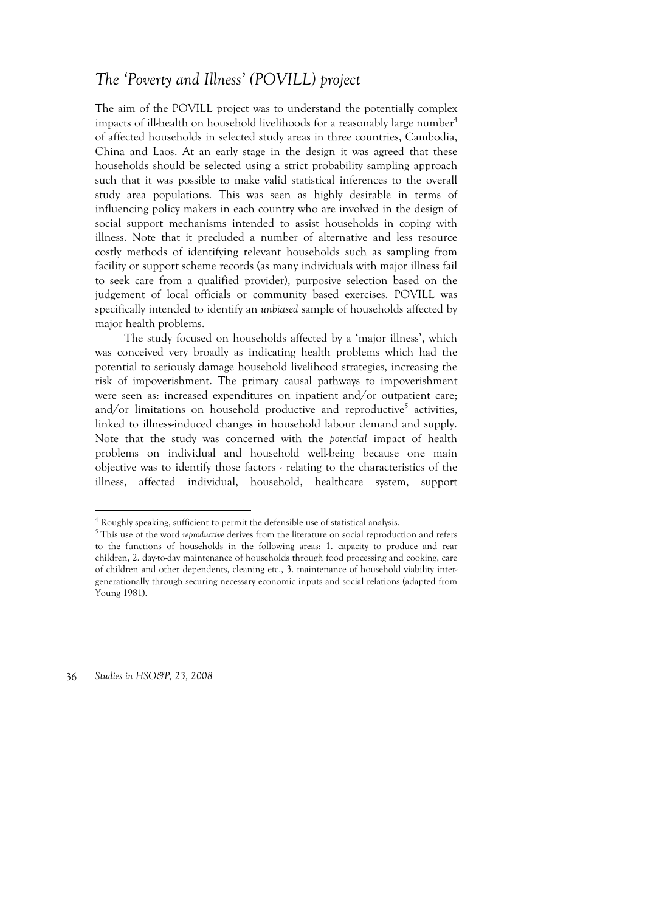# *The 'Poverty and Illness' (POVILL) project*

The aim of the POVILL project was to understand the potentially complex impacts of ill-health on household livelihoods for a reasonably large number<sup>4</sup> of affected households in selected study areas in three countries, Cambodia, China and Laos. At an early stage in the design it was agreed that these households should be selected using a strict probability sampling approach such that it was possible to make valid statistical inferences to the overall study area populations. This was seen as highly desirable in terms of influencing policy makers in each country who are involved in the design of social support mechanisms intended to assist households in coping with illness. Note that it precluded a number of alternative and less resource costly methods of identifying relevant households such as sampling from facility or support scheme records (as many individuals with major illness fail to seek care from a qualified provider), purposive selection based on the judgement of local officials or community based exercises. POVILL was specifically intended to identify an *unbiased* sample of households affected by major health problems.

The study focused on households affected by a 'major illness', which was conceived very broadly as indicating health problems which had the potential to seriously damage household livelihood strategies, increasing the risk of impoverishment. The primary causal pathways to impoverishment were seen as: increased expenditures on inpatient and/or outpatient care; and/or limitations on household productive and reproductive<sup>5</sup> activities, linked to illness-induced changes in household labour demand and supply. Note that the study was concerned with the *potential* impact of health problems on individual and household well-being because one main objective was to identify those factors - relating to the characteristics of the illness, affected individual, household, healthcare system, support

36 *Studies in HSO&P, 23, 2008* 

 $\overline{a}$ 

<sup>4</sup> Roughly speaking, sufficient to permit the defensible use of statistical analysis.

<sup>&</sup>lt;sup>5</sup> This use of the word *reproductive* derives from the literature on social reproduction and refers to the functions of households in the following areas: 1. capacity to produce and rear children, 2. day-to-day maintenance of households through food processing and cooking, care of children and other dependents, cleaning etc., 3. maintenance of household viability intergenerationally through securing necessary economic inputs and social relations (adapted from Young 1981).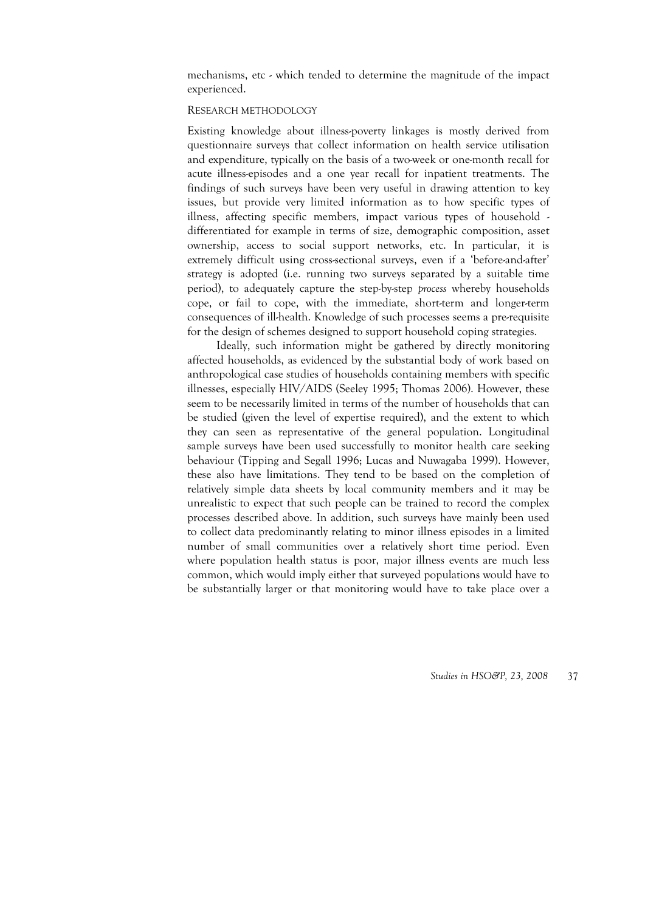mechanisms, etc - which tended to determine the magnitude of the impact experienced.

#### RESEARCH METHODOLOGY

Existing knowledge about illness-poverty linkages is mostly derived from questionnaire surveys that collect information on health service utilisation and expenditure, typically on the basis of a two-week or one-month recall for acute illness-episodes and a one year recall for inpatient treatments. The findings of such surveys have been very useful in drawing attention to key issues, but provide very limited information as to how specific types of illness, affecting specific members, impact various types of household differentiated for example in terms of size, demographic composition, asset ownership, access to social support networks, etc. In particular, it is extremely difficult using cross-sectional surveys, even if a 'before-and-after' strategy is adopted (i.e. running two surveys separated by a suitable time period), to adequately capture the step-by-step *process* whereby households cope, or fail to cope, with the immediate, short-term and longer-term consequences of ill-health. Knowledge of such processes seems a pre-requisite for the design of schemes designed to support household coping strategies.

Ideally, such information might be gathered by directly monitoring affected households, as evidenced by the substantial body of work based on anthropological case studies of households containing members with specific illnesses, especially HIV/AIDS (Seeley 1995; Thomas 2006). However, these seem to be necessarily limited in terms of the number of households that can be studied (given the level of expertise required), and the extent to which they can seen as representative of the general population. Longitudinal sample surveys have been used successfully to monitor health care seeking behaviour (Tipping and Segall 1996; Lucas and Nuwagaba 1999). However, these also have limitations. They tend to be based on the completion of relatively simple data sheets by local community members and it may be unrealistic to expect that such people can be trained to record the complex processes described above. In addition, such surveys have mainly been used to collect data predominantly relating to minor illness episodes in a limited number of small communities over a relatively short time period. Even where population health status is poor, major illness events are much less common, which would imply either that surveyed populations would have to be substantially larger or that monitoring would have to take place over a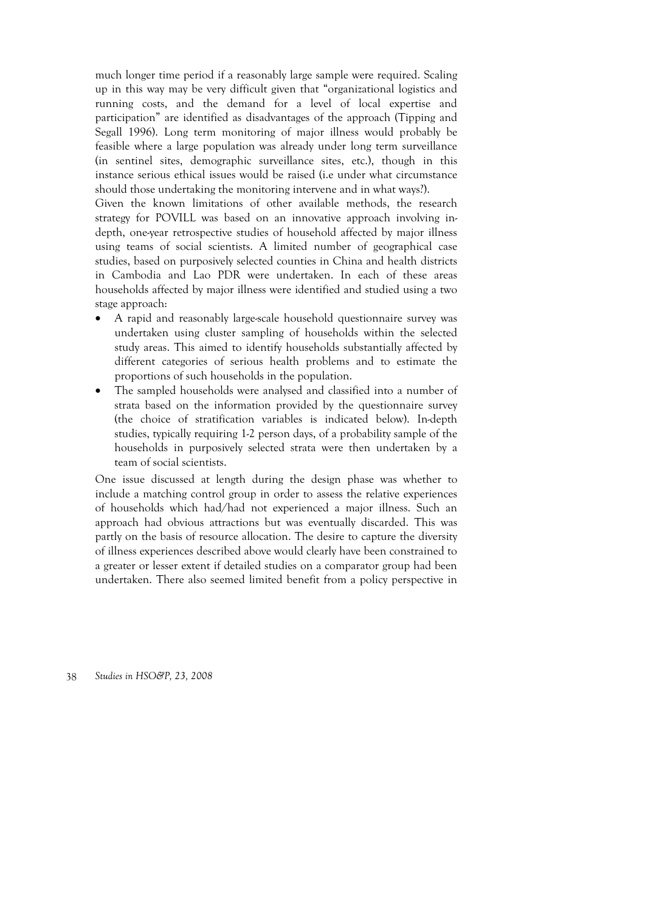much longer time period if a reasonably large sample were required. Scaling up in this way may be very difficult given that "organizational logistics and running costs, and the demand for a level of local expertise and participation" are identified as disadvantages of the approach (Tipping and Segall 1996). Long term monitoring of major illness would probably be feasible where a large population was already under long term surveillance (in sentinel sites, demographic surveillance sites, etc.), though in this instance serious ethical issues would be raised (i.e under what circumstance should those undertaking the monitoring intervene and in what ways?).

Given the known limitations of other available methods, the research strategy for POVILL was based on an innovative approach involving indepth, one-year retrospective studies of household affected by major illness using teams of social scientists. A limited number of geographical case studies, based on purposively selected counties in China and health districts in Cambodia and Lao PDR were undertaken. In each of these areas households affected by major illness were identified and studied using a two stage approach:

- A rapid and reasonably large-scale household questionnaire survey was undertaken using cluster sampling of households within the selected study areas. This aimed to identify households substantially affected by different categories of serious health problems and to estimate the proportions of such households in the population.
- The sampled households were analysed and classified into a number of strata based on the information provided by the questionnaire survey (the choice of stratification variables is indicated below). In-depth studies, typically requiring 1-2 person days, of a probability sample of the households in purposively selected strata were then undertaken by a team of social scientists.

One issue discussed at length during the design phase was whether to include a matching control group in order to assess the relative experiences of households which had/had not experienced a major illness. Such an approach had obvious attractions but was eventually discarded. This was partly on the basis of resource allocation. The desire to capture the diversity of illness experiences described above would clearly have been constrained to a greater or lesser extent if detailed studies on a comparator group had been undertaken. There also seemed limited benefit from a policy perspective in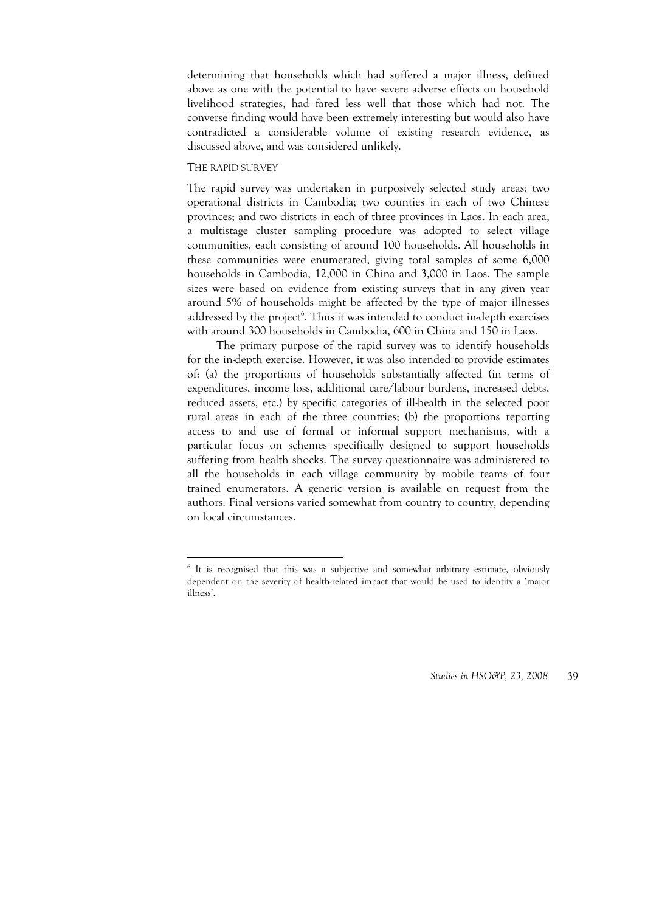determining that households which had suffered a major illness, defined above as one with the potential to have severe adverse effects on household livelihood strategies, had fared less well that those which had not. The converse finding would have been extremely interesting but would also have contradicted a considerable volume of existing research evidence, as discussed above, and was considered unlikely.

#### THE RAPID SURVEY

-

The rapid survey was undertaken in purposively selected study areas: two operational districts in Cambodia; two counties in each of two Chinese provinces; and two districts in each of three provinces in Laos. In each area, a multistage cluster sampling procedure was adopted to select village communities, each consisting of around 100 households. All households in these communities were enumerated, giving total samples of some 6,000 households in Cambodia, 12,000 in China and 3,000 in Laos. The sample sizes were based on evidence from existing surveys that in any given year around 5% of households might be affected by the type of major illnesses addressed by the project<sup>6</sup>. Thus it was intended to conduct in-depth exercises with around 300 households in Cambodia, 600 in China and 150 in Laos.

The primary purpose of the rapid survey was to identify households for the in-depth exercise. However, it was also intended to provide estimates of: (a) the proportions of households substantially affected (in terms of expenditures, income loss, additional care/labour burdens, increased debts, reduced assets, etc.) by specific categories of ill-health in the selected poor rural areas in each of the three countries; (b) the proportions reporting access to and use of formal or informal support mechanisms, with a particular focus on schemes specifically designed to support households suffering from health shocks. The survey questionnaire was administered to all the households in each village community by mobile teams of four trained enumerators. A generic version is available on request from the authors. Final versions varied somewhat from country to country, depending on local circumstances.

<sup>&</sup>lt;sup>6</sup> It is recognised that this was a subjective and somewhat arbitrary estimate, obviously dependent on the severity of health-related impact that would be used to identify a 'major illness'.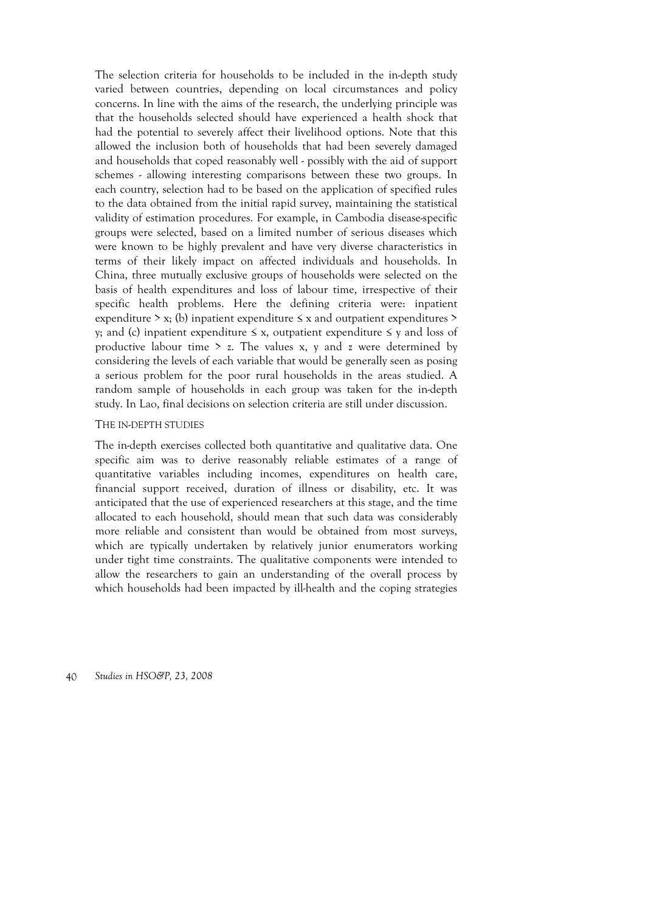The selection criteria for households to be included in the in-depth study varied between countries, depending on local circumstances and policy concerns. In line with the aims of the research, the underlying principle was that the households selected should have experienced a health shock that had the potential to severely affect their livelihood options. Note that this allowed the inclusion both of households that had been severely damaged and households that coped reasonably well - possibly with the aid of support schemes - allowing interesting comparisons between these two groups. In each country, selection had to be based on the application of specified rules to the data obtained from the initial rapid survey, maintaining the statistical validity of estimation procedures. For example, in Cambodia disease-specific groups were selected, based on a limited number of serious diseases which were known to be highly prevalent and have very diverse characteristics in terms of their likely impact on affected individuals and households. In China, three mutually exclusive groups of households were selected on the basis of health expenditures and loss of labour time, irrespective of their specific health problems. Here the defining criteria were: inpatient expenditure  $> x$ ; (b) inpatient expenditure  $\leq x$  and outpatient expenditures  $>$ y; and (c) inpatient expenditure ≤ x, outpatient expenditure ≤ y and loss of productive labour time  $> z$ . The values x, y and z were determined by considering the levels of each variable that would be generally seen as posing a serious problem for the poor rural households in the areas studied. A random sample of households in each group was taken for the in-depth study. In Lao, final decisions on selection criteria are still under discussion.

#### THE IN-DEPTH STUDIES

The in-depth exercises collected both quantitative and qualitative data. One specific aim was to derive reasonably reliable estimates of a range of quantitative variables including incomes, expenditures on health care, financial support received, duration of illness or disability, etc. It was anticipated that the use of experienced researchers at this stage, and the time allocated to each household, should mean that such data was considerably more reliable and consistent than would be obtained from most surveys, which are typically undertaken by relatively junior enumerators working under tight time constraints. The qualitative components were intended to allow the researchers to gain an understanding of the overall process by which households had been impacted by ill-health and the coping strategies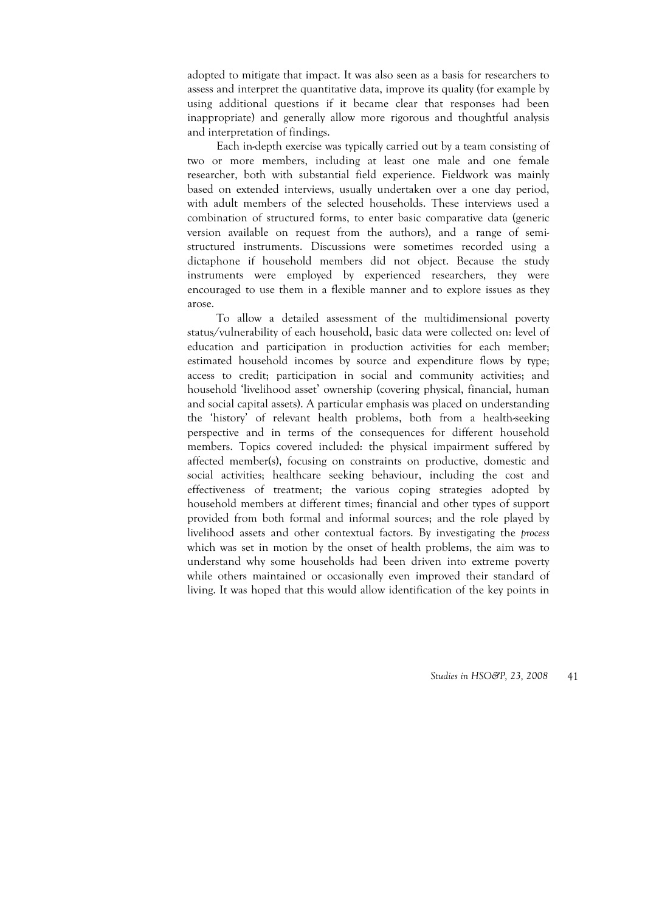adopted to mitigate that impact. It was also seen as a basis for researchers to assess and interpret the quantitative data, improve its quality (for example by using additional questions if it became clear that responses had been inappropriate) and generally allow more rigorous and thoughtful analysis and interpretation of findings.

Each in-depth exercise was typically carried out by a team consisting of two or more members, including at least one male and one female researcher, both with substantial field experience. Fieldwork was mainly based on extended interviews, usually undertaken over a one day period, with adult members of the selected households. These interviews used a combination of structured forms, to enter basic comparative data (generic version available on request from the authors), and a range of semistructured instruments. Discussions were sometimes recorded using a dictaphone if household members did not object. Because the study instruments were employed by experienced researchers, they were encouraged to use them in a flexible manner and to explore issues as they arose.

To allow a detailed assessment of the multidimensional poverty status/vulnerability of each household, basic data were collected on: level of education and participation in production activities for each member; estimated household incomes by source and expenditure flows by type; access to credit; participation in social and community activities; and household 'livelihood asset' ownership (covering physical, financial, human and social capital assets). A particular emphasis was placed on understanding the 'history' of relevant health problems, both from a health-seeking perspective and in terms of the consequences for different household members. Topics covered included: the physical impairment suffered by affected member(s), focusing on constraints on productive, domestic and social activities; healthcare seeking behaviour, including the cost and effectiveness of treatment; the various coping strategies adopted by household members at different times; financial and other types of support provided from both formal and informal sources; and the role played by livelihood assets and other contextual factors. By investigating the *process* which was set in motion by the onset of health problems, the aim was to understand why some households had been driven into extreme poverty while others maintained or occasionally even improved their standard of living. It was hoped that this would allow identification of the key points in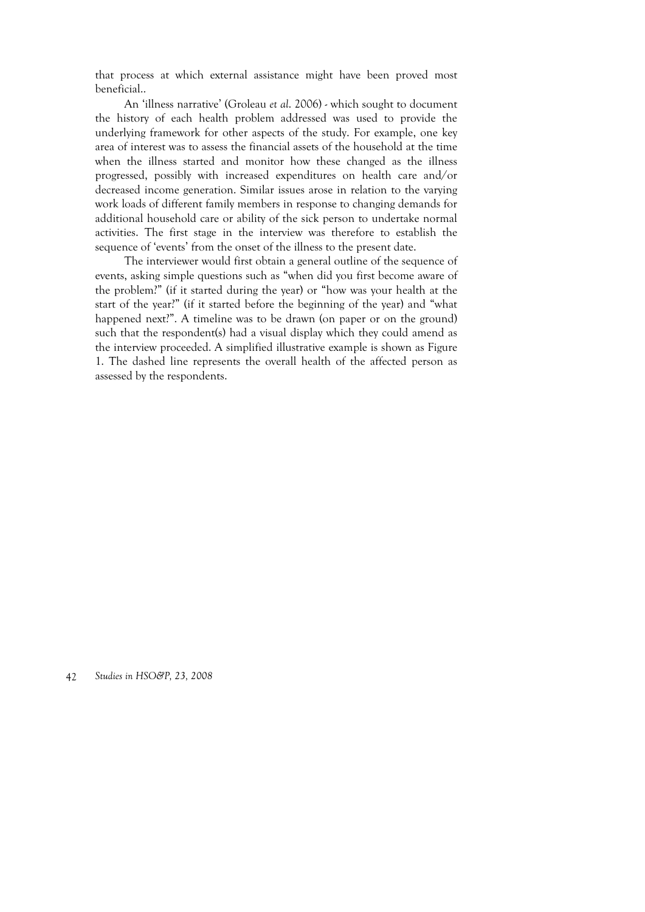that process at which external assistance might have been proved most beneficial..

An 'illness narrative' (Groleau *et al*. 2006) - which sought to document the history of each health problem addressed was used to provide the underlying framework for other aspects of the study. For example, one key area of interest was to assess the financial assets of the household at the time when the illness started and monitor how these changed as the illness progressed, possibly with increased expenditures on health care and/or decreased income generation. Similar issues arose in relation to the varying work loads of different family members in response to changing demands for additional household care or ability of the sick person to undertake normal activities. The first stage in the interview was therefore to establish the sequence of 'events' from the onset of the illness to the present date.

The interviewer would first obtain a general outline of the sequence of events, asking simple questions such as "when did you first become aware of the problem?" (if it started during the year) or "how was your health at the start of the year?" (if it started before the beginning of the year) and "what happened next?". A timeline was to be drawn (on paper or on the ground) such that the respondent(s) had a visual display which they could amend as the interview proceeded. A simplified illustrative example is shown as Figure 1. The dashed line represents the overall health of the affected person as assessed by the respondents.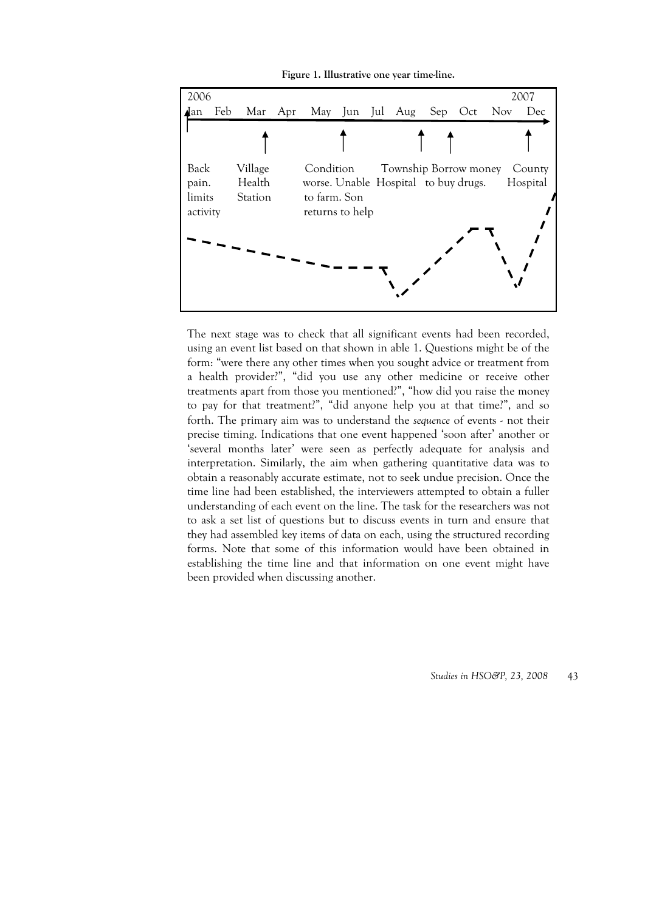**Figure 1. Illustrative one year time-line.** 



The next stage was to check that all significant events had been recorded, using an event list based on that shown in able 1. Questions might be of the form: "were there any other times when you sought advice or treatment from a health provider?", "did you use any other medicine or receive other treatments apart from those you mentioned?", "how did you raise the money to pay for that treatment?", "did anyone help you at that time?", and so forth. The primary aim was to understand the *sequence* of events - not their precise timing. Indications that one event happened 'soon after' another or 'several months later' were seen as perfectly adequate for analysis and interpretation. Similarly, the aim when gathering quantitative data was to obtain a reasonably accurate estimate, not to seek undue precision. Once the time line had been established, the interviewers attempted to obtain a fuller understanding of each event on the line. The task for the researchers was not to ask a set list of questions but to discuss events in turn and ensure that they had assembled key items of data on each, using the structured recording forms. Note that some of this information would have been obtained in establishing the time line and that information on one event might have been provided when discussing another.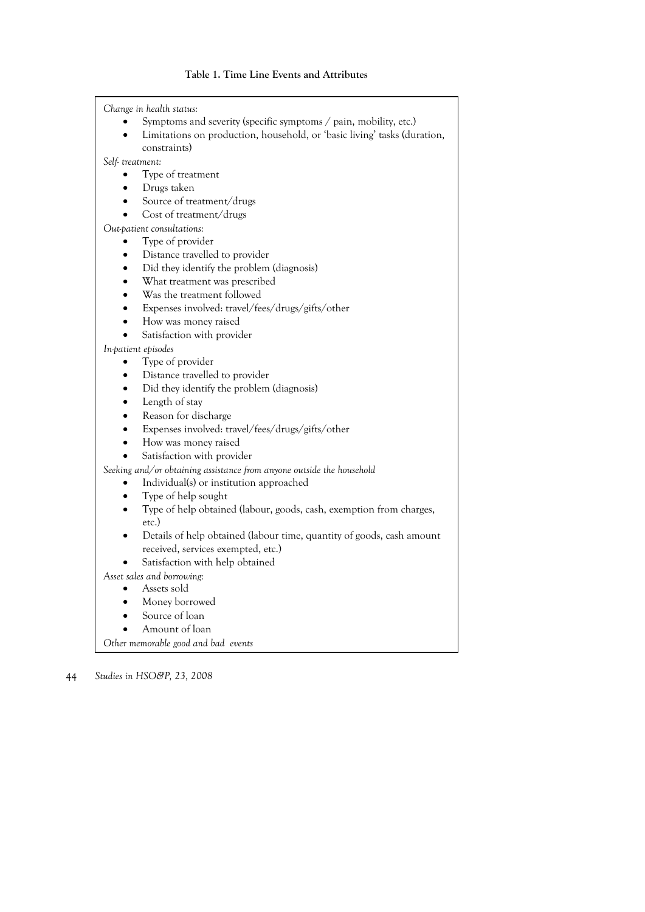#### **Table 1. Time Line Events and Attributes**

*Change in health status:* 

- Symptoms and severity (specific symptoms / pain, mobility, etc.)
- Limitations on production, household, or 'basic living' tasks (duration, constraints)

*Self- treatment:* 

- Type of treatment
- Drugs taken
- Source of treatment/drugs
- Cost of treatment/drugs

*Out-patient consultations:* 

- Type of provider
- Distance travelled to provider
- Did they identify the problem (diagnosis)
- What treatment was prescribed
- Was the treatment followed
- Expenses involved: travel/fees/drugs/gifts/other
- How was money raised
- Satisfaction with provider

*In-patient episodes* 

- Type of provider
- Distance travelled to provider
- Did they identify the problem (diagnosis)
- Length of stay
- Reason for discharge
- Expenses involved: travel/fees/drugs/gifts/other
- How was money raised
- Satisfaction with provider

*Seeking and/or obtaining assistance from anyone outside the household* 

- Individual(s) or institution approached
	- Type of help sought
- Type of help obtained (labour, goods, cash, exemption from charges, etc.)
- Details of help obtained (labour time, quantity of goods, cash amount received, services exempted, etc.)
- Satisfaction with help obtained
- *Asset sales and borrowing:* 
	- Assets sold
	- Money borrowed
	- Source of loan
	- Amount of loan

*Other memorable good and bad events*

<sup>44</sup> *Studies in HSO&P, 23, 2008*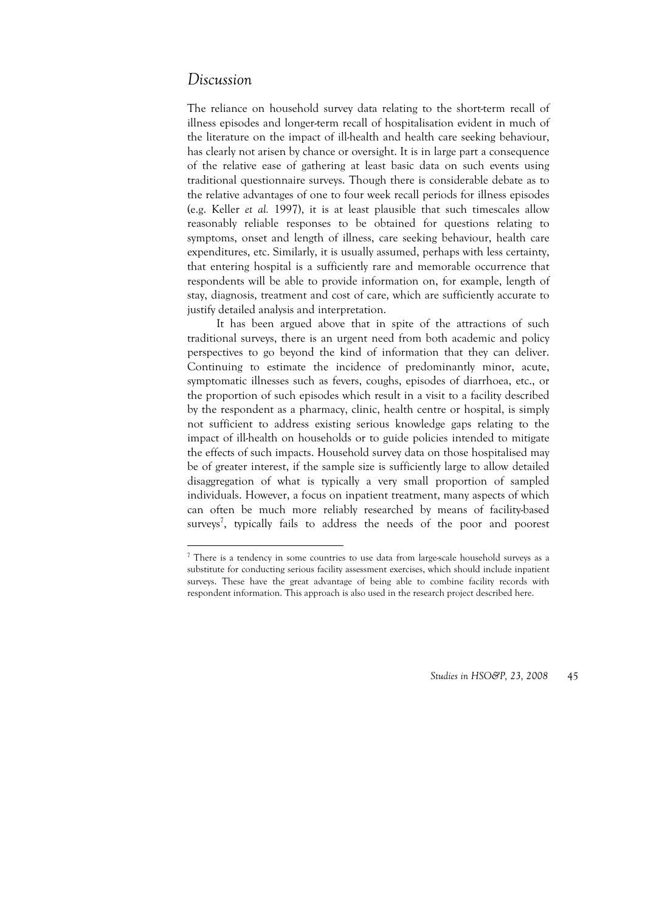### *Discussion*

<u>.</u>

The reliance on household survey data relating to the short-term recall of illness episodes and longer-term recall of hospitalisation evident in much of the literature on the impact of ill-health and health care seeking behaviour, has clearly not arisen by chance or oversight. It is in large part a consequence of the relative ease of gathering at least basic data on such events using traditional questionnaire surveys. Though there is considerable debate as to the relative advantages of one to four week recall periods for illness episodes (e.g. Keller *et al.* 1997), it is at least plausible that such timescales allow reasonably reliable responses to be obtained for questions relating to symptoms, onset and length of illness, care seeking behaviour, health care expenditures, etc. Similarly, it is usually assumed, perhaps with less certainty, that entering hospital is a sufficiently rare and memorable occurrence that respondents will be able to provide information on, for example, length of stay, diagnosis, treatment and cost of care, which are sufficiently accurate to justify detailed analysis and interpretation.

It has been argued above that in spite of the attractions of such traditional surveys, there is an urgent need from both academic and policy perspectives to go beyond the kind of information that they can deliver. Continuing to estimate the incidence of predominantly minor, acute, symptomatic illnesses such as fevers, coughs, episodes of diarrhoea, etc., or the proportion of such episodes which result in a visit to a facility described by the respondent as a pharmacy, clinic, health centre or hospital, is simply not sufficient to address existing serious knowledge gaps relating to the impact of ill-health on households or to guide policies intended to mitigate the effects of such impacts. Household survey data on those hospitalised may be of greater interest, if the sample size is sufficiently large to allow detailed disaggregation of what is typically a very small proportion of sampled individuals. However, a focus on inpatient treatment, many aspects of which can often be much more reliably researched by means of facility-based surveys<sup>7</sup>, typically fails to address the needs of the poor and poorest

<sup>&</sup>lt;sup>7</sup> There is a tendency in some countries to use data from large-scale household surveys as a substitute for conducting serious facility assessment exercises, which should include inpatient surveys. These have the great advantage of being able to combine facility records with respondent information. This approach is also used in the research project described here.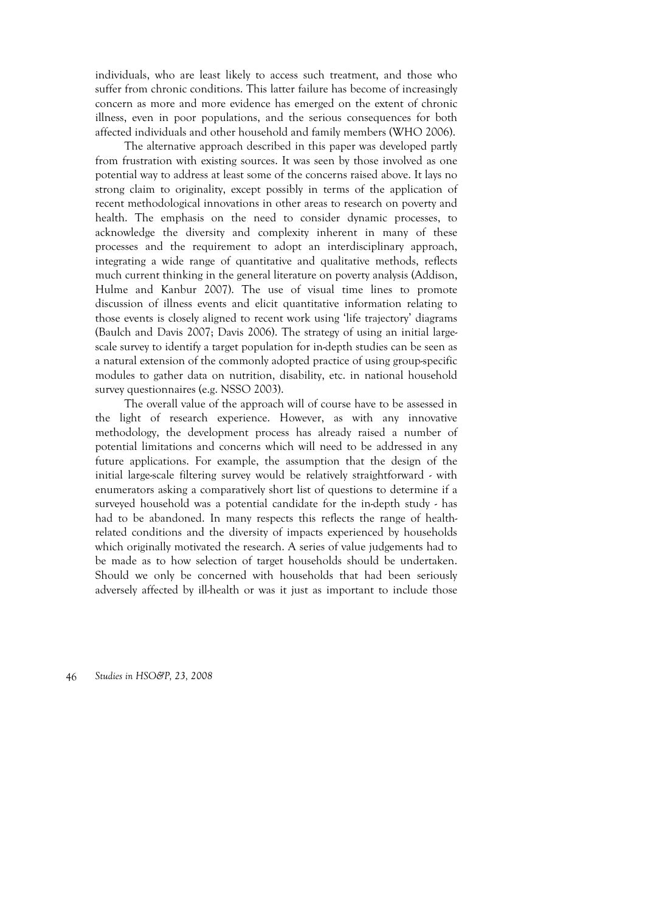individuals, who are least likely to access such treatment, and those who suffer from chronic conditions. This latter failure has become of increasingly concern as more and more evidence has emerged on the extent of chronic illness, even in poor populations, and the serious consequences for both affected individuals and other household and family members (WHO 2006).

The alternative approach described in this paper was developed partly from frustration with existing sources. It was seen by those involved as one potential way to address at least some of the concerns raised above. It lays no strong claim to originality, except possibly in terms of the application of recent methodological innovations in other areas to research on poverty and health. The emphasis on the need to consider dynamic processes, to acknowledge the diversity and complexity inherent in many of these processes and the requirement to adopt an interdisciplinary approach, integrating a wide range of quantitative and qualitative methods, reflects much current thinking in the general literature on poverty analysis (Addison, Hulme and Kanbur 2007). The use of visual time lines to promote discussion of illness events and elicit quantitative information relating to those events is closely aligned to recent work using 'life trajectory' diagrams (Baulch and Davis 2007; Davis 2006). The strategy of using an initial largescale survey to identify a target population for in-depth studies can be seen as a natural extension of the commonly adopted practice of using group-specific modules to gather data on nutrition, disability, etc. in national household survey questionnaires (e.g. NSSO 2003).

The overall value of the approach will of course have to be assessed in the light of research experience. However, as with any innovative methodology, the development process has already raised a number of potential limitations and concerns which will need to be addressed in any future applications. For example, the assumption that the design of the initial large-scale filtering survey would be relatively straightforward - with enumerators asking a comparatively short list of questions to determine if a surveyed household was a potential candidate for the in-depth study - has had to be abandoned. In many respects this reflects the range of healthrelated conditions and the diversity of impacts experienced by households which originally motivated the research. A series of value judgements had to be made as to how selection of target households should be undertaken. Should we only be concerned with households that had been seriously adversely affected by ill-health or was it just as important to include those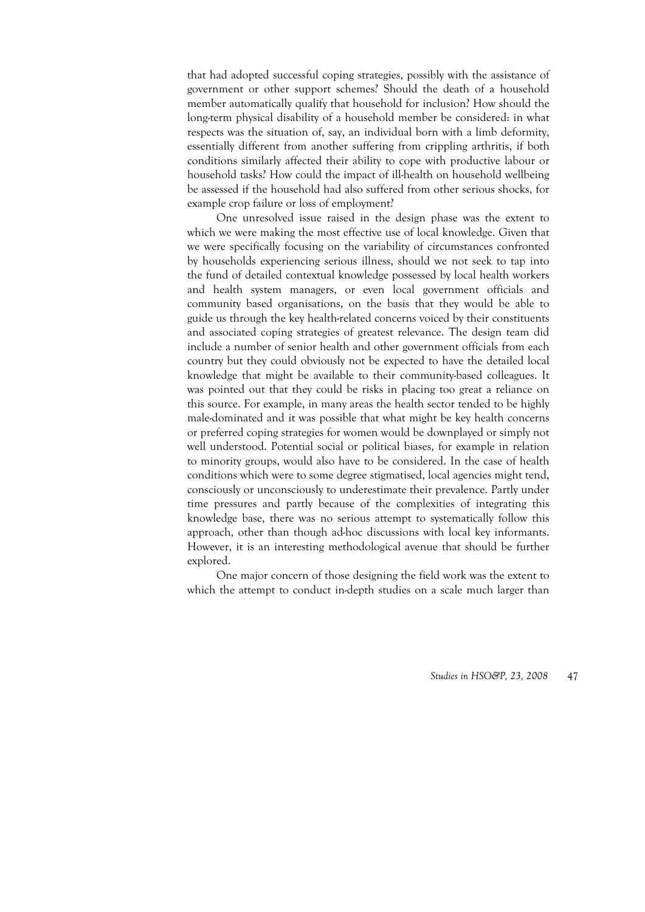that had adopted successful coping strategies, possibly with the assistance of government or other support schemes? Should the death of a household member automatically qualify that household for inclusion? How should the long-term physical disability of a household member be considered: in what respects was the situation of, say, an individual born with a limb deformity, essentially different from another suffering from crippling arthritis, if both conditions similarly affected their ability to cope with productive labour or household tasks? How could the impact of ill-health on household wellbeing be assessed if the household had also suffered from other serious shocks, for example crop failure or loss of employment?

One unresolved issue raised in the design phase was the extent to which we were making the most effective use of local knowledge. Given that we were specifically focusing on the variability of circumstances confronted by households experiencing serious illness, should we not seek to tap into the fund of detailed contextual knowledge possessed by local health workers and health system managers, or even local government officials and community based organisations, on the basis that they would be able to guide us through the key health-related concerns voiced by their constituents and associated coping strategies of greatest relevance. The design team did include a number of senior health and other government officials from each country but they could obviously not be expected to have the detailed local knowledge that might be available to their community-based colleagues. It was pointed out that they could be risks in placing too great a reliance on this source. For example, in many areas the health sector tended to be highly male-dominated and it was possible that what might be key health concerns or preferred coping strategies for women would be downplayed or simply not well understood. Potential social or political biases, for example in relation to minority groups, would also have to be considered. In the case of health conditions which were to some degree stigmatised, local agencies might tend, consciously or unconsciously to underestimate their prevalence. Partly under time pressures and partly because of the complexities of integrating this knowledge base, there was no serious attempt to systematically follow this approach, other than though ad-hoc discussions with local key informants. However, it is an interesting methodological avenue that should be further explored.

One major concern of those designing the field work was the extent to which the attempt to conduct in-depth studies on a scale much larger than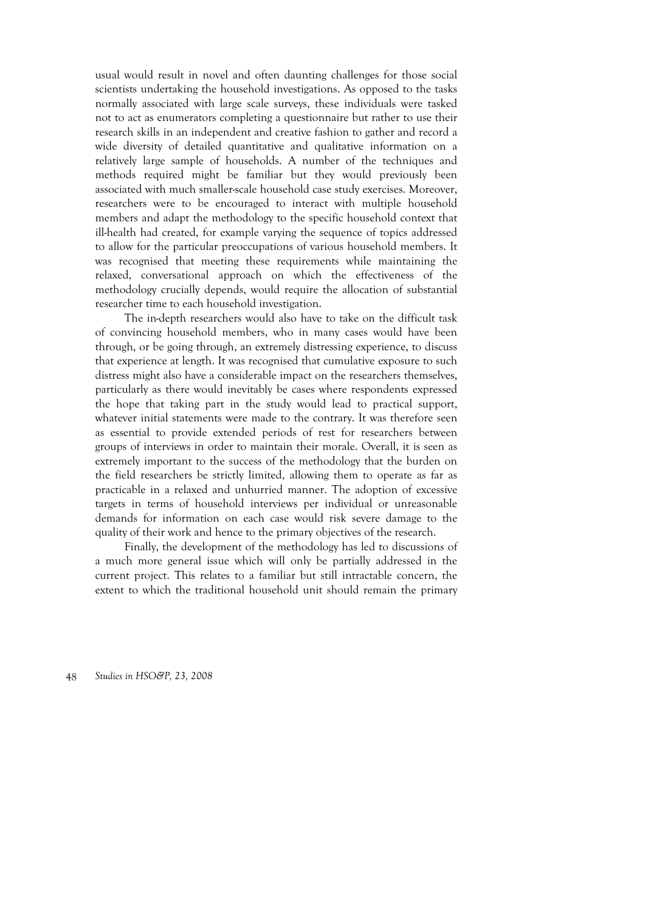usual would result in novel and often daunting challenges for those social scientists undertaking the household investigations. As opposed to the tasks normally associated with large scale surveys, these individuals were tasked not to act as enumerators completing a questionnaire but rather to use their research skills in an independent and creative fashion to gather and record a wide diversity of detailed quantitative and qualitative information on a relatively large sample of households. A number of the techniques and methods required might be familiar but they would previously been associated with much smaller-scale household case study exercises. Moreover, researchers were to be encouraged to interact with multiple household members and adapt the methodology to the specific household context that ill-health had created, for example varying the sequence of topics addressed to allow for the particular preoccupations of various household members. It was recognised that meeting these requirements while maintaining the relaxed, conversational approach on which the effectiveness of the methodology crucially depends, would require the allocation of substantial researcher time to each household investigation.

The in-depth researchers would also have to take on the difficult task of convincing household members, who in many cases would have been through, or be going through, an extremely distressing experience, to discuss that experience at length. It was recognised that cumulative exposure to such distress might also have a considerable impact on the researchers themselves, particularly as there would inevitably be cases where respondents expressed the hope that taking part in the study would lead to practical support, whatever initial statements were made to the contrary. It was therefore seen as essential to provide extended periods of rest for researchers between groups of interviews in order to maintain their morale. Overall, it is seen as extremely important to the success of the methodology that the burden on the field researchers be strictly limited, allowing them to operate as far as practicable in a relaxed and unhurried manner. The adoption of excessive targets in terms of household interviews per individual or unreasonable demands for information on each case would risk severe damage to the quality of their work and hence to the primary objectives of the research.

Finally, the development of the methodology has led to discussions of a much more general issue which will only be partially addressed in the current project. This relates to a familiar but still intractable concern, the extent to which the traditional household unit should remain the primary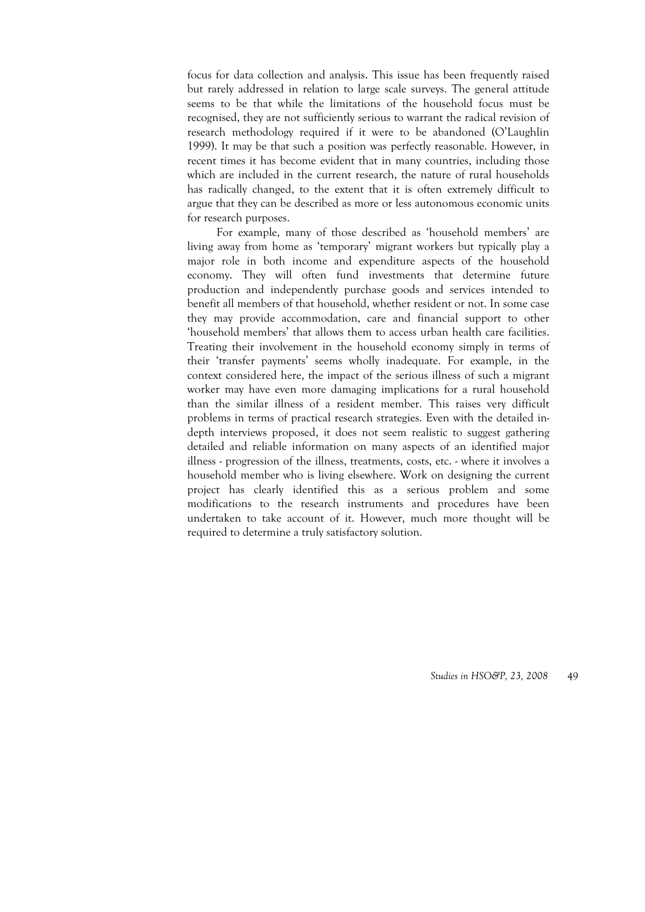focus for data collection and analysis. This issue has been frequently raised but rarely addressed in relation to large scale surveys. The general attitude seems to be that while the limitations of the household focus must be recognised, they are not sufficiently serious to warrant the radical revision of research methodology required if it were to be abandoned (O'Laughlin 1999). It may be that such a position was perfectly reasonable. However, in recent times it has become evident that in many countries, including those which are included in the current research, the nature of rural households has radically changed, to the extent that it is often extremely difficult to argue that they can be described as more or less autonomous economic units for research purposes.

For example, many of those described as 'household members' are living away from home as 'temporary' migrant workers but typically play a major role in both income and expenditure aspects of the household economy. They will often fund investments that determine future production and independently purchase goods and services intended to benefit all members of that household, whether resident or not. In some case they may provide accommodation, care and financial support to other 'household members' that allows them to access urban health care facilities. Treating their involvement in the household economy simply in terms of their 'transfer payments' seems wholly inadequate. For example, in the context considered here, the impact of the serious illness of such a migrant worker may have even more damaging implications for a rural household than the similar illness of a resident member. This raises very difficult problems in terms of practical research strategies. Even with the detailed indepth interviews proposed, it does not seem realistic to suggest gathering detailed and reliable information on many aspects of an identified major illness - progression of the illness, treatments, costs, etc. - where it involves a household member who is living elsewhere. Work on designing the current project has clearly identified this as a serious problem and some modifications to the research instruments and procedures have been undertaken to take account of it. However, much more thought will be required to determine a truly satisfactory solution.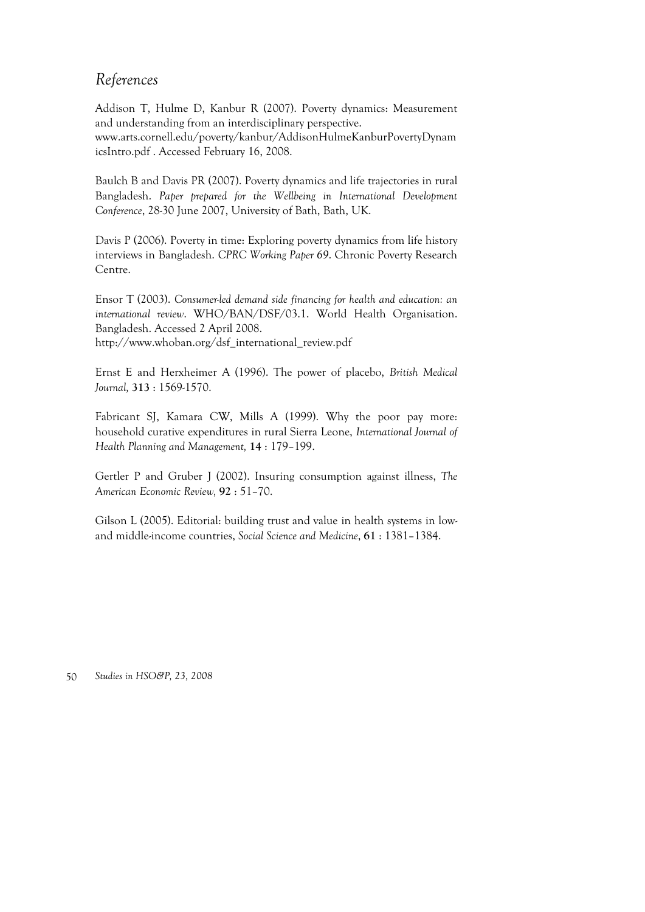# *References*

Addison T, Hulme D, Kanbur R (2007). Poverty dynamics: Measurement and understanding from an interdisciplinary perspective. www.arts.cornell.edu/poverty/kanbur/AddisonHulmeKanburPovertyDynam icsIntro.pdf . Accessed February 16, 2008.

Baulch B and Davis PR (2007). Poverty dynamics and life trajectories in rural Bangladesh. *Paper prepared for the Wellbeing in International Development Conference*, 28-30 June 2007, University of Bath, Bath, UK.

Davis P (2006). Poverty in time: Exploring poverty dynamics from life history interviews in Bangladesh. *CPRC Working Paper 69*. Chronic Poverty Research Centre.

Ensor T (2003). *Consumer-led demand side financing for health and education: an international review*. WHO/BAN/DSF/03.1. World Health Organisation. Bangladesh. Accessed 2 April 2008. http://www.whoban.org/dsf\_international\_review.pdf

Ernst E and Herxheimer A (1996). The power of placebo, *British Medical Journal,* **313** : 1569-1570.

Fabricant SJ, Kamara CW, Mills A (1999). Why the poor pay more: household curative expenditures in rural Sierra Leone, *International Journal of Health Planning and Management,* **14** : 179–199.

Gertler P and Gruber J (2002). Insuring consumption against illness, *The American Economic Review,* **92** : 51–70.

Gilson L (2005). Editorial: building trust and value in health systems in lowand middle-income countries, *Social Science and Medicine*, **61** : 1381–1384.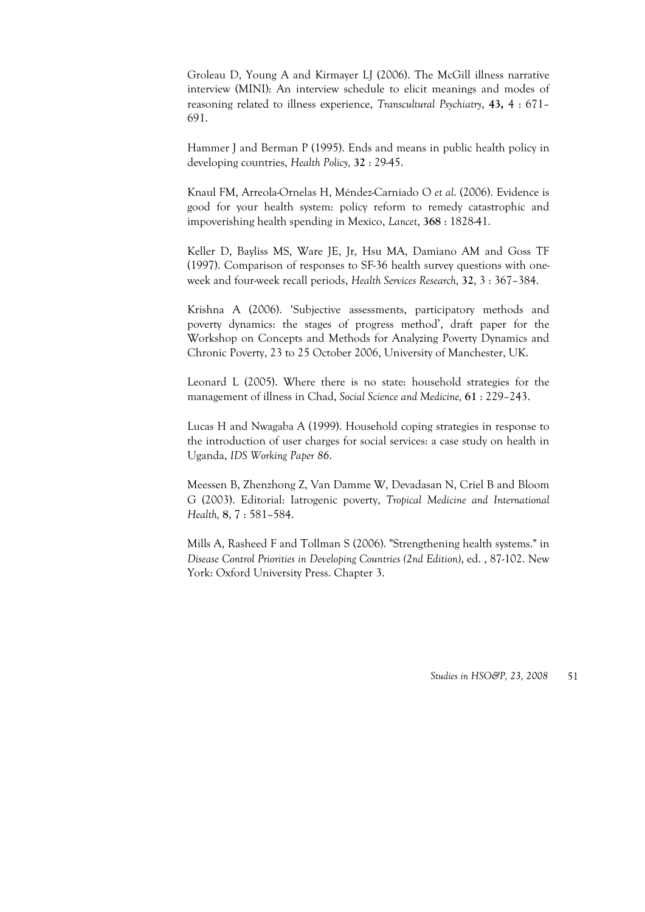Groleau D, Young A and Kirmayer LJ (2006). The McGill illness narrative interview (MINI): An interview schedule to elicit meanings and modes of reasoning related to illness experience, *Transcultural Psychiatry*, **43,** 4 : 671– 691.

Hammer J and Berman P (1995). Ends and means in public health policy in developing countries, *Health Policy,* **32** : 29-45.

Knaul FM, Arreola-Ornelas H, Méndez-Carniado O *et al*. (2006). Evidence is good for your health system: policy reform to remedy catastrophic and impoverishing health spending in Mexico, *Lancet*, **368** : 1828-41.

Keller D, Bayliss MS, Ware JE, Jr, Hsu MA, Damiano AM and Goss TF (1997). Comparison of responses to SF-36 health survey questions with oneweek and four-week recall periods, *Health Services Research,* **32**, 3 : 367–384.

Krishna A (2006). 'Subjective assessments, participatory methods and poverty dynamics: the stages of progress method', draft paper for the Workshop on Concepts and Methods for Analyzing Poverty Dynamics and Chronic Poverty, 23 to 25 October 2006, University of Manchester, UK.

Leonard L (2005). Where there is no state: household strategies for the management of illness in Chad, *Social Science and Medicine,* **61** : 229–243.

Lucas H and Nwagaba A (1999). Household coping strategies in response to the introduction of user charges for social services: a case study on health in Uganda, *IDS Working Paper 86*.

Meessen B, Zhenzhong Z, Van Damme W, Devadasan N, Criel B and Bloom G (2003). Editorial: Iatrogenic poverty, *Tropical Medicine and International Health,* **8**, 7 : 581–584.

Mills A, Rasheed F and Tollman S (2006). "Strengthening health systems." in *Disease Control Priorities in Developing Countries (2nd Edition)*, ed. , 87-102. New York: Oxford University Press. Chapter 3.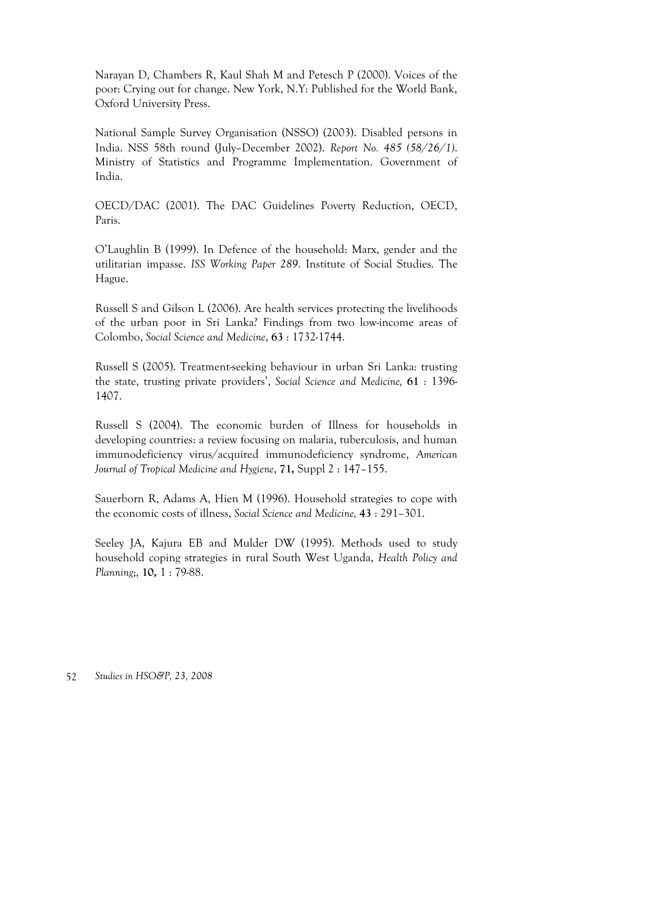Narayan D, Chambers R, Kaul Shah M and Petesch P (2000). Voices of the poor: Crying out for change. New York, N.Y: Published for the World Bank, Oxford University Press.

National Sample Survey Organisation (NSSO) (2003). Disabled persons in India. NSS 58th round (July–December 2002). *Report No. 485 (58/26/1)*. Ministry of Statistics and Programme Implementation. Government of India.

OECD/DAC (2001). The DAC Guidelines Poverty Reduction, OECD, Paris.

O'Laughlin B (1999). In Defence of the household: Marx, gender and the utilitarian impasse. *ISS Working Paper 289*. Institute of Social Studies. The Hague.

Russell S and Gilson L (2006). Are health services protecting the livelihoods of the urban poor in Sri Lanka? Findings from two low-income areas of Colombo, *Social Science and Medicine*, **63** : 1732-1744.

Russell S (2005). Treatment-seeking behaviour in urban Sri Lanka: trusting the state, trusting private providers', *Social Science and Medicine,* **61** : 1396- 1407.

Russell S (2004). The economic burden of Illness for households in developing countries: a review focusing on malaria, tuberculosis, and human immunodeficiency virus/acquired immunodeficiency syndrome, *American Journal of Tropical Medicine and Hygiene*, **71,** Suppl 2 : 147–155.

Sauerborn R, Adams A, Hien M (1996). Household strategies to cope with the economic costs of illness, *Social Science and Medicine,* **43** : 291–301.

Seeley JA, Kajura EB and Mulder DW (1995). Methods used to study household coping strategies in rural South West Uganda, *Health Policy and Planning*;, **10,** 1 : 79-88.